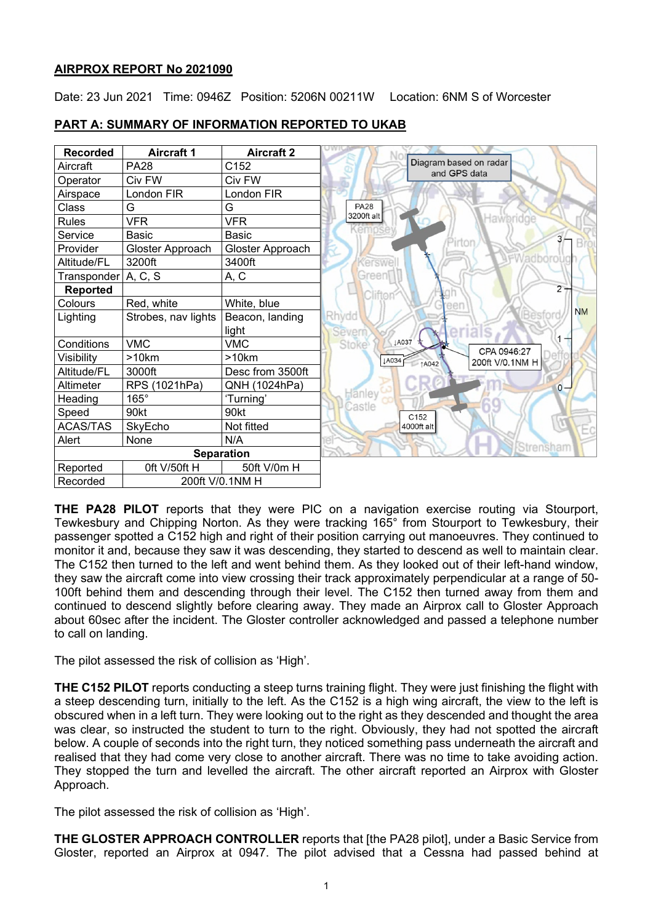### **AIRPROX REPORT No 2021090**

Date: 23 Jun 2021 Time: 0946Z Position: 5206N 00211W Location: 6NM S of Worcester

| <b>Recorded</b>     | <b>Aircraft 1</b>   | <b>Aircraft 2</b> |                                          |
|---------------------|---------------------|-------------------|------------------------------------------|
| Aircraft            | <b>PA28</b>         | C152              | Diagram based on radar<br>and GPS data   |
| Operator            | Civ FW              | Civ FW            |                                          |
| Airspace            | London FIR          | London FIR        |                                          |
| Class               | G                   | G                 | <b>PA28</b>                              |
| <b>Rules</b>        | <b>VFR</b>          | <b>VFR</b>        | 3200ft alt<br>Hawbridge                  |
| Service             | Basic               | <b>Basic</b>      | 3 <sub>1</sub>                           |
| Provider            | Gloster Approach    | Gloster Approach  | irtor                                    |
| Altitude/FL         | 3200ft              | 3400ft            | <b>FWadboroug</b><br>erswe               |
| Transponder A, C, S |                     | A, C              | Green                                    |
| Reported            |                     |                   | $2 -$<br>Clifton                         |
| Colours             | Red, white          | White, blue       | een                                      |
| Lighting            | Strobes, nav lights | Beacon, landing   | <b>NM</b><br>Rhydd                       |
|                     |                     | light             | Severn                                   |
| Conditions          | <b>VMC</b>          | <b>VMC</b>        | ↓A037<br><b>Stoke</b><br>CPA 0946:27     |
| Visibility          | >10km               | $>10$ km          | <b>JA034</b><br>200ft V/0.1NM H<br>↑A042 |
| Altitude/FL         | 3000ft              | Desc from 3500ft  |                                          |
| Altimeter           | RPS (1021hPa)       | QNH (1024hPa)     | $0 -$                                    |
| Heading             | $165^\circ$         | 'Turning'         | Hanley                                   |
| Speed               | 90kt                | 90kt              | Castle<br>C152                           |
| <b>ACAS/TAS</b>     | SkyEcho             | Not fitted        | 4000ft alt                               |
| Alert               | None                | N/A               |                                          |
| <b>Separation</b>   |                     |                   | Strensham                                |
| Reported            | Oft V/50ft H        | 50ft V/0m H       |                                          |
| Recorded            | 200ft V/0.1NM H     |                   |                                          |

## **PART A: SUMMARY OF INFORMATION REPORTED TO UKAB**

**THE PA28 PILOT** reports that they were PIC on a navigation exercise routing via Stourport, Tewkesbury and Chipping Norton. As they were tracking 165° from Stourport to Tewkesbury, their passenger spotted a C152 high and right of their position carrying out manoeuvres. They continued to monitor it and, because they saw it was descending, they started to descend as well to maintain clear. The C152 then turned to the left and went behind them. As they looked out of their left-hand window, they saw the aircraft come into view crossing their track approximately perpendicular at a range of 50- 100ft behind them and descending through their level. The C152 then turned away from them and continued to descend slightly before clearing away. They made an Airprox call to Gloster Approach about 60sec after the incident. The Gloster controller acknowledged and passed a telephone number to call on landing.

The pilot assessed the risk of collision as 'High'.

**THE C152 PILOT** reports conducting a steep turns training flight. They were just finishing the flight with a steep descending turn, initially to the left. As the C152 is a high wing aircraft, the view to the left is obscured when in a left turn. They were looking out to the right as they descended and thought the area was clear, so instructed the student to turn to the right. Obviously, they had not spotted the aircraft below. A couple of seconds into the right turn, they noticed something pass underneath the aircraft and realised that they had come very close to another aircraft. There was no time to take avoiding action. They stopped the turn and levelled the aircraft. The other aircraft reported an Airprox with Gloster Approach.

The pilot assessed the risk of collision as 'High'.

**THE GLOSTER APPROACH CONTROLLER** reports that [the PA28 pilot], under a Basic Service from Gloster, reported an Airprox at 0947. The pilot advised that a Cessna had passed behind at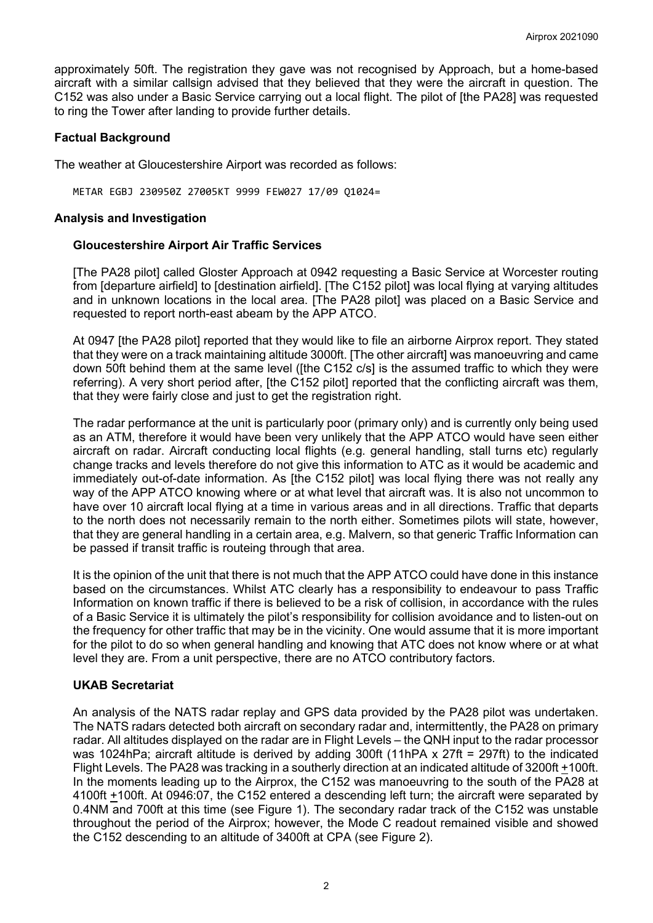approximately 50ft. The registration they gave was not recognised by Approach, but a home-based aircraft with a similar callsign advised that they believed that they were the aircraft in question. The C152 was also under a Basic Service carrying out a local flight. The pilot of [the PA28] was requested to ring the Tower after landing to provide further details.

### **Factual Background**

The weather at Gloucestershire Airport was recorded as follows:

METAR EGBJ 230950Z 27005KT 9999 FEW027 17/09 Q1024=

### **Analysis and Investigation**

#### **Gloucestershire Airport Air Traffic Services**

[The PA28 pilot] called Gloster Approach at 0942 requesting a Basic Service at Worcester routing from [departure airfield] to [destination airfield]. [The C152 pilot] was local flying at varying altitudes and in unknown locations in the local area. [The PA28 pilot] was placed on a Basic Service and requested to report north-east abeam by the APP ATCO.

At 0947 [the PA28 pilot] reported that they would like to file an airborne Airprox report. They stated that they were on a track maintaining altitude 3000ft. [The other aircraft] was manoeuvring and came down 50ft behind them at the same level ([the C152 c/s] is the assumed traffic to which they were referring). A very short period after, [the C152 pilot] reported that the conflicting aircraft was them, that they were fairly close and just to get the registration right.

The radar performance at the unit is particularly poor (primary only) and is currently only being used as an ATM, therefore it would have been very unlikely that the APP ATCO would have seen either aircraft on radar. Aircraft conducting local flights (e.g. general handling, stall turns etc) regularly change tracks and levels therefore do not give this information to ATC as it would be academic and immediately out-of-date information. As [the C152 pilot] was local flying there was not really any way of the APP ATCO knowing where or at what level that aircraft was. It is also not uncommon to have over 10 aircraft local flying at a time in various areas and in all directions. Traffic that departs to the north does not necessarily remain to the north either. Sometimes pilots will state, however, that they are general handling in a certain area, e.g. Malvern, so that generic Traffic Information can be passed if transit traffic is routeing through that area.

It is the opinion of the unit that there is not much that the APP ATCO could have done in this instance based on the circumstances. Whilst ATC clearly has a responsibility to endeavour to pass Traffic Information on known traffic if there is believed to be a risk of collision, in accordance with the rules of a Basic Service it is ultimately the pilot's responsibility for collision avoidance and to listen-out on the frequency for other traffic that may be in the vicinity. One would assume that it is more important for the pilot to do so when general handling and knowing that ATC does not know where or at what level they are. From a unit perspective, there are no ATCO contributory factors.

### **UKAB Secretariat**

An analysis of the NATS radar replay and GPS data provided by the PA28 pilot was undertaken. The NATS radars detected both aircraft on secondary radar and, intermittently, the PA28 on primary radar. All altitudes displayed on the radar are in Flight Levels – the QNH input to the radar processor was 1024hPa; aircraft altitude is derived by adding 300ft (11hPA x 27ft = 297ft) to the indicated Flight Levels. The PA28 was tracking in a southerly direction at an indicated altitude of 3200ft +100ft. In the moments leading up to the Airprox, the C152 was manoeuvring to the south of the PA28 at 4100ft +100ft. At 0946:07, the C152 entered a descending left turn; the aircraft were separated by 0.4NM and 700ft at this time (see Figure 1). The secondary radar track of the C152 was unstable throughout the period of the Airprox; however, the Mode C readout remained visible and showed the C152 descending to an altitude of 3400ft at CPA (see Figure 2).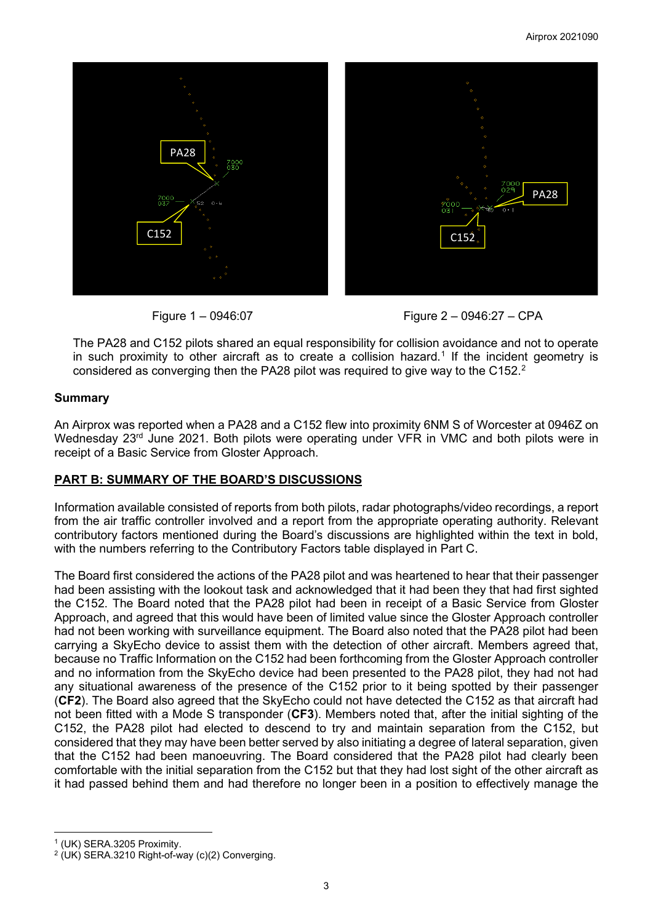



The PA28 and C152 pilots shared an equal responsibility for collision avoidance and not to operate in such proximity to other aircraft as to create a collision hazard. [1](#page-2-0) If the incident geometry is considered as converging then the PA[2](#page-2-1)8 pilot was required to give way to the C152. $^{\rm 2}$ 

## **Summary**

An Airprox was reported when a PA28 and a C152 flew into proximity 6NM S of Worcester at 0946Z on Wednesday 23<sup>rd</sup> June 2021. Both pilots were operating under VFR in VMC and both pilots were in receipt of a Basic Service from Gloster Approach.

# **PART B: SUMMARY OF THE BOARD'S DISCUSSIONS**

Information available consisted of reports from both pilots, radar photographs/video recordings, a report from the air traffic controller involved and a report from the appropriate operating authority. Relevant contributory factors mentioned during the Board's discussions are highlighted within the text in bold, with the numbers referring to the Contributory Factors table displayed in Part C.

The Board first considered the actions of the PA28 pilot and was heartened to hear that their passenger had been assisting with the lookout task and acknowledged that it had been they that had first sighted the C152. The Board noted that the PA28 pilot had been in receipt of a Basic Service from Gloster Approach, and agreed that this would have been of limited value since the Gloster Approach controller had not been working with surveillance equipment. The Board also noted that the PA28 pilot had been carrying a SkyEcho device to assist them with the detection of other aircraft. Members agreed that, because no Traffic Information on the C152 had been forthcoming from the Gloster Approach controller and no information from the SkyEcho device had been presented to the PA28 pilot, they had not had any situational awareness of the presence of the C152 prior to it being spotted by their passenger (**CF2**). The Board also agreed that the SkyEcho could not have detected the C152 as that aircraft had not been fitted with a Mode S transponder (**CF3**). Members noted that, after the initial sighting of the C152, the PA28 pilot had elected to descend to try and maintain separation from the C152, but considered that they may have been better served by also initiating a degree of lateral separation, given that the C152 had been manoeuvring. The Board considered that the PA28 pilot had clearly been comfortable with the initial separation from the C152 but that they had lost sight of the other aircraft as it had passed behind them and had therefore no longer been in a position to effectively manage the

<span id="page-2-0"></span><sup>1</sup> (UK) SERA.3205 Proximity.

<span id="page-2-1"></span> $2$  (UK) SERA.3210 Right-of-way (c)(2) Converging.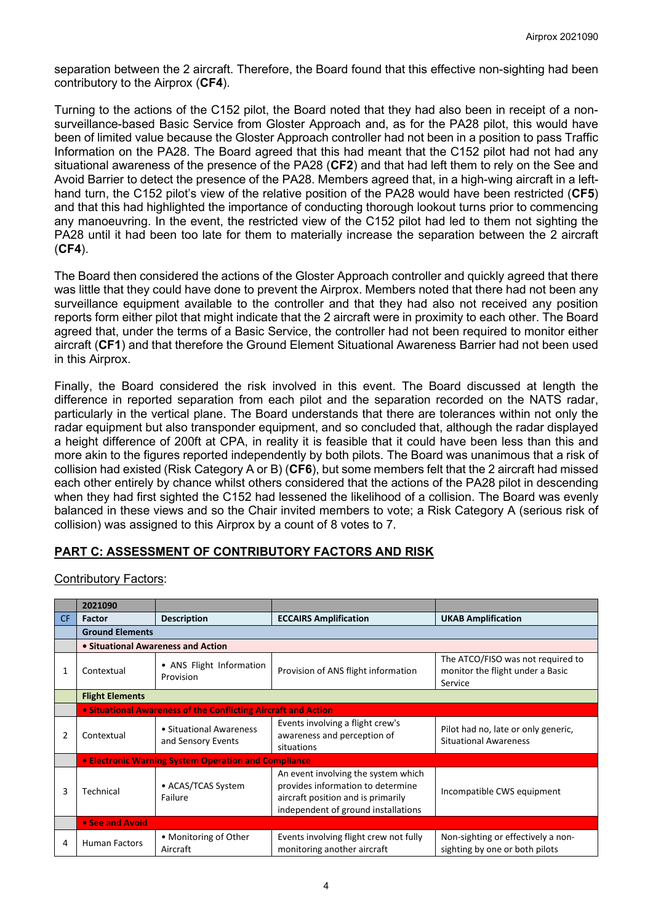separation between the 2 aircraft. Therefore, the Board found that this effective non-sighting had been contributory to the Airprox (**CF4**).

Turning to the actions of the C152 pilot, the Board noted that they had also been in receipt of a nonsurveillance-based Basic Service from Gloster Approach and, as for the PA28 pilot, this would have been of limited value because the Gloster Approach controller had not been in a position to pass Traffic Information on the PA28. The Board agreed that this had meant that the C152 pilot had not had any situational awareness of the presence of the PA28 (**CF2**) and that had left them to rely on the See and Avoid Barrier to detect the presence of the PA28. Members agreed that, in a high-wing aircraft in a lefthand turn, the C152 pilot's view of the relative position of the PA28 would have been restricted (**CF5**) and that this had highlighted the importance of conducting thorough lookout turns prior to commencing any manoeuvring. In the event, the restricted view of the C152 pilot had led to them not sighting the PA28 until it had been too late for them to materially increase the separation between the 2 aircraft (**CF4**).

The Board then considered the actions of the Gloster Approach controller and quickly agreed that there was little that they could have done to prevent the Airprox. Members noted that there had not been any surveillance equipment available to the controller and that they had also not received any position reports form either pilot that might indicate that the 2 aircraft were in proximity to each other. The Board agreed that, under the terms of a Basic Service, the controller had not been required to monitor either aircraft (**CF1**) and that therefore the Ground Element Situational Awareness Barrier had not been used in this Airprox.

Finally, the Board considered the risk involved in this event. The Board discussed at length the difference in reported separation from each pilot and the separation recorded on the NATS radar, particularly in the vertical plane. The Board understands that there are tolerances within not only the radar equipment but also transponder equipment, and so concluded that, although the radar displayed a height difference of 200ft at CPA, in reality it is feasible that it could have been less than this and more akin to the figures reported independently by both pilots. The Board was unanimous that a risk of collision had existed (Risk Category A or B) (**CF6**), but some members felt that the 2 aircraft had missed each other entirely by chance whilst others considered that the actions of the PA28 pilot in descending when they had first sighted the C152 had lessened the likelihood of a collision. The Board was evenly balanced in these views and so the Chair invited members to vote; a Risk Category A (serious risk of collision) was assigned to this Airprox by a count of 8 votes to 7.

# **PART C: ASSESSMENT OF CONTRIBUTORY FACTORS AND RISK**

#### Contributory Factors:

|     | 2021090                                                        |                                               |                                                                                                                                                       |                                                                                  |  |  |  |
|-----|----------------------------------------------------------------|-----------------------------------------------|-------------------------------------------------------------------------------------------------------------------------------------------------------|----------------------------------------------------------------------------------|--|--|--|
| CF. | <b>Factor</b>                                                  | <b>Description</b>                            | <b>ECCAIRS Amplification</b>                                                                                                                          | <b>UKAB Amplification</b>                                                        |  |  |  |
|     | <b>Ground Elements</b>                                         |                                               |                                                                                                                                                       |                                                                                  |  |  |  |
|     | • Situational Awareness and Action                             |                                               |                                                                                                                                                       |                                                                                  |  |  |  |
| 1   | Contextual                                                     | • ANS Flight Information<br>Provision         | Provision of ANS flight information                                                                                                                   | The ATCO/FISO was not required to<br>monitor the flight under a Basic<br>Service |  |  |  |
|     | <b>Flight Elements</b>                                         |                                               |                                                                                                                                                       |                                                                                  |  |  |  |
|     | • Situational Awareness of the Conflicting Aircraft and Action |                                               |                                                                                                                                                       |                                                                                  |  |  |  |
| 2   | Contextual                                                     | • Situational Awareness<br>and Sensory Events | Events involving a flight crew's<br>awareness and perception of<br>situations                                                                         | Pilot had no, late or only generic,<br><b>Situational Awareness</b>              |  |  |  |
|     | • Electronic Warning System Operation and Compliance           |                                               |                                                                                                                                                       |                                                                                  |  |  |  |
| 3   | • ACAS/TCAS System<br>Technical<br>Failure                     |                                               | An event involving the system which<br>provides information to determine<br>aircraft position and is primarily<br>independent of ground installations | Incompatible CWS equipment                                                       |  |  |  |
|     | • See and Avoid                                                |                                               |                                                                                                                                                       |                                                                                  |  |  |  |
| 4   | <b>Human Factors</b>                                           | • Monitoring of Other<br>Aircraft             | Events involving flight crew not fully<br>monitoring another aircraft                                                                                 | Non-sighting or effectively a non-<br>sighting by one or both pilots             |  |  |  |